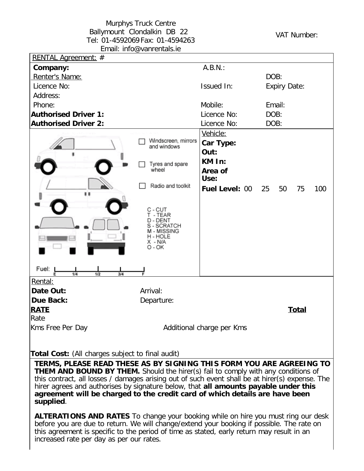## Murphys Truck Centre Ballymount Clondalkin DB 22 Tel: 01-4592069 Fax: 01-4594263 Email: info@vanrentals.ie

VAT Number:

| RENTAL Agreement: #                                                                                                                                                                         |                          |                           |                     |              |     |
|---------------------------------------------------------------------------------------------------------------------------------------------------------------------------------------------|--------------------------|---------------------------|---------------------|--------------|-----|
| Company:                                                                                                                                                                                    |                          | A.B.N.:                   |                     |              |     |
| Renter's Name:                                                                                                                                                                              |                          |                           | DOB:                |              |     |
| Licence No:                                                                                                                                                                                 |                          | Issued In:                | <b>Expiry Date:</b> |              |     |
| Address:                                                                                                                                                                                    |                          |                           |                     |              |     |
| Phone:                                                                                                                                                                                      |                          | Mobile:                   | Email:              |              |     |
| <b>Authorised Driver 1:</b>                                                                                                                                                                 |                          | Licence No:               | DOB:                |              |     |
| <b>Authorised Driver 2:</b>                                                                                                                                                                 |                          | Licence No:               | DOB:                |              |     |
|                                                                                                                                                                                             |                          | Vehicle:                  |                     |              |     |
|                                                                                                                                                                                             | Windscreen, mirrors      | Car Type:                 |                     |              |     |
|                                                                                                                                                                                             | and windows              | Out:                      |                     |              |     |
|                                                                                                                                                                                             |                          | KM In:                    |                     |              |     |
|                                                                                                                                                                                             | Tyres and spare<br>wheel | Area of                   |                     |              |     |
|                                                                                                                                                                                             |                          | Use:                      |                     |              |     |
|                                                                                                                                                                                             | Radio and toolkit        | <b>Fuel Level: 00</b>     | 25<br>50            | 75           | 100 |
| "                                                                                                                                                                                           |                          |                           |                     |              |     |
|                                                                                                                                                                                             | C - CUT                  |                           |                     |              |     |
|                                                                                                                                                                                             | T - TEAR                 |                           |                     |              |     |
|                                                                                                                                                                                             | D - DENT<br>S - SCRATCH  |                           |                     |              |     |
|                                                                                                                                                                                             | M - MISSING<br>H - HOLE  |                           |                     |              |     |
|                                                                                                                                                                                             | X - N/A                  |                           |                     |              |     |
|                                                                                                                                                                                             | O - OK                   |                           |                     |              |     |
|                                                                                                                                                                                             |                          |                           |                     |              |     |
| Fuel:<br>1/4<br>1/2<br>3/4                                                                                                                                                                  |                          |                           |                     |              |     |
| Rental:                                                                                                                                                                                     |                          |                           |                     |              |     |
| Date Out:                                                                                                                                                                                   | Arrival:                 |                           |                     |              |     |
| <b>Due Back:</b>                                                                                                                                                                            | Departure:               |                           |                     |              |     |
| <b>RATE</b>                                                                                                                                                                                 |                          |                           |                     | <b>Total</b> |     |
| Rate                                                                                                                                                                                        |                          |                           |                     |              |     |
| Kms Free Per Day                                                                                                                                                                            |                          | Additional charge per Kms |                     |              |     |
|                                                                                                                                                                                             |                          |                           |                     |              |     |
|                                                                                                                                                                                             |                          |                           |                     |              |     |
| <b>Total Cost:</b> (All charges subject to final audit)<br>TERMS, PLEASE READ THESE AS BY SIGNING THIS FORM YOU ARE AGREEING TO                                                             |                          |                           |                     |              |     |
|                                                                                                                                                                                             |                          |                           |                     |              |     |
| <b>THEM AND BOUND BY THEM.</b> Should the hirer(s) fail to comply with any conditions of<br>this contract, all losses / damages arising out of such event shall be at hirer(s) expense. The |                          |                           |                     |              |     |
| hirer agrees and authorises by signature below, that all amounts payable under this                                                                                                         |                          |                           |                     |              |     |
| agreement will be charged to the credit card of which details are have been                                                                                                                 |                          |                           |                     |              |     |
| supplied.                                                                                                                                                                                   |                          |                           |                     |              |     |
|                                                                                                                                                                                             |                          |                           |                     |              |     |
| <b>ALTERATIONS AND RATES</b> To change your booking while on hire you must ring our desk<br>before you are due to return. We will change/extend your booking if possible. The rate on       |                          |                           |                     |              |     |
| this agreement is specific to the period of time as stated, early return may result in an                                                                                                   |                          |                           |                     |              |     |

increased rate per day as per our rates.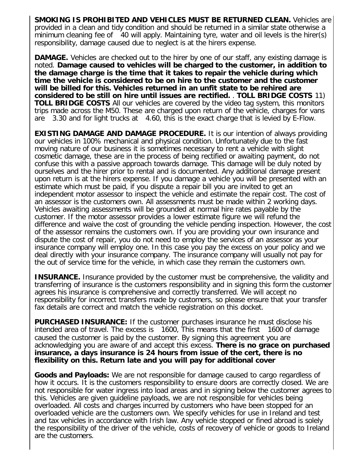**SMOKING IS PROHIBITED AND VEHICLES MUST BE RETURNED CLEAN.** Vehicles are provided in a clean and tidy condition and should be returned in a similar state otherwise a minimum cleaning fee of 40 will apply. Maintaining tyre, water and oil levels is the hirer(s) responsibility, damage caused due to neglect is at the hirers expense.

**DAMAGE.** Vehicles are checked out to the hirer by one of our staff, any existing damage is noted. **Damage caused to vehicles will be charged to the customer, in addition to the damage charge is the time that it takes to repair the vehicle during which time the vehicle is considered to be on hire to the customer and the customer will be billed for this. Vehicles returned in an unfit state to be rehired are considered to be still on hire until issues are rectified.** . **TOLL BRIDGE COSTS** 11) **TOLL BRIDGE COSTS** All our vehicles are covered by the video tag system, this monitors trips made across the M50. These are charged upon return of the vehicle, charges for vans are 3.30 and for light trucks at 4.60, this is the exact charge that is levied by E-Flow.

**EXISTING DAMAGE AND DAMAGE PROCEDURE.** It is our intention of always providing our vehicles in 100% mechanical and physical condition. Unfortunately due to the fast moving nature of our business it is sometimes necessary to rent a vehicle with slight cosmetic damage, these are in the process of being rectified or awaiting payment, do not confuse this with a passive approach towards damage. This damage will be duly noted by ourselves and the hirer prior to rental and is documented. Any additional damage present upon return is at the hirers expense. If you damage a vehicle you will be presented with an estimate which must be paid, if you dispute a repair bill you are invited to get an independent motor assessor to inspect the vehicle and estimate the repair cost. The cost of an assessor is the customers own. All assessments must be made within 2 working days. Vehicles awaiting assessments will be grounded at normal hire rates payable by the customer. If the motor assessor provides a lower estimate figure we will refund the difference and waive the cost of grounding the vehicle pending inspection. However, the cost of the assessor remains the customers own. If you are providing your own insurance and dispute the cost of repair, you do not need to employ the services of an assessor as your insurance company will employ one. In this case you pay the excess on your policy and we deal directly with your insurance company. The insurance company will usually not pay for the out of service time for the vehicle, in which case they remain the customers own.

**INSURANCE.** Insurance provided by the customer must be comprehensive, the validity and transferring of insurance is the customers responsibility and in signing this form the customer agrees his insurance is comprehensive and correctly transferred. We will accept no responsibility for incorrect transfers made by customers, so please ensure that your transfer fax details are correct and match the vehicle registration on this docket.

**PURCHASED INSURANCE:** If the customer purchases insurance he must disclose his intended area of travel. The excess is 1600, This means that the first 1600 of damage caused the customer is paid by the customer. By signing this agreement you are acknowledging you are aware of and accept this excess. **There is no grace on purchased insurance, a days insurance is 24 hours from issue of the cert, there is no flexibility on this. Return late and you will pay for additional cover**

**Goods and Payloads:** We are not responsible for damage caused to cargo regardless of how it occurs. It is the customers responsibility to ensure doors are correctly closed. We are not responsible for water ingress into load areas and in signing below the customer agrees to this. Vehicles are given guideline payloads, we are not responsible for vehicles being overloaded. All costs and charges incurred by customers who have been stopped for an overloaded vehicle are the customers own. We specify vehicles for use in Ireland and test and tax vehicles in accordance with Irish law. Any vehicle stopped or fined abroad is solely the responsibility of the driver of the vehicle, costs of recovery of vehicle or goods to Ireland are the customers.